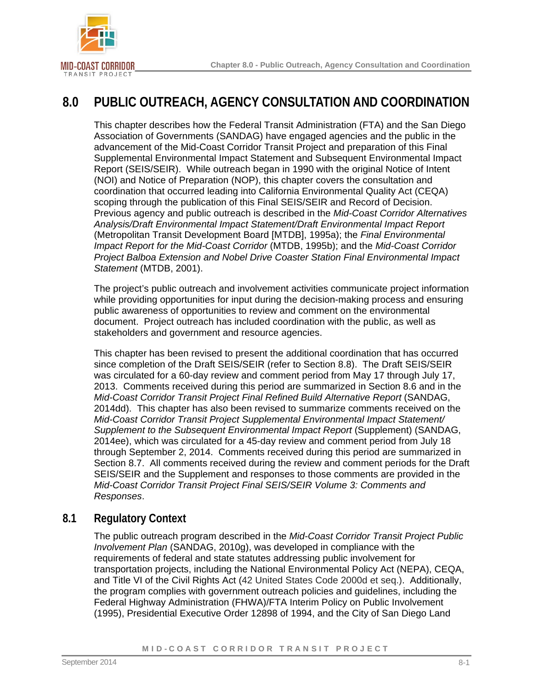



# **8.0 PUBLIC OUTREACH, AGENCY CONSULTATION AND COORDINATION**

This chapter describes how the Federal Transit Administration (FTA) and the San Diego Association of Governments (SANDAG) have engaged agencies and the public in the advancement of the Mid-Coast Corridor Transit Project and preparation of this Final Supplemental Environmental Impact Statement and Subsequent Environmental Impact Report (SEIS/SEIR). While outreach began in 1990 with the original Notice of Intent (NOI) and Notice of Preparation (NOP), this chapter covers the consultation and coordination that occurred leading into California Environmental Quality Act (CEQA) scoping through the publication of this Final SEIS/SEIR and Record of Decision. Previous agency and public outreach is described in the *Mid-Coast Corridor Alternatives Analysis/Draft Environmental Impact Statement/Draft Environmental Impact Report*  (Metropolitan Transit Development Board [MTDB], 1995a); the *Final Environmental Impact Report for the Mid-Coast Corridor* (MTDB, 1995b); and the *Mid-Coast Corridor Project Balboa Extension and Nobel Drive Coaster Station Final Environmental Impact Statement* (MTDB, 2001).

The project's public outreach and involvement activities communicate project information while providing opportunities for input during the decision-making process and ensuring public awareness of opportunities to review and comment on the environmental document. Project outreach has included coordination with the public, as well as stakeholders and government and resource agencies.

This chapter has been revised to present the additional coordination that has occurred since completion of the Draft SEIS/SEIR (refer to Section [8.8\)](#page-18-0). The Draft SEIS/SEIR was circulated for a 60-day review and comment period from May 17 through July 17, 2013. Comments received during this period are summarized in Section [8.6](#page-15-0) and in the *Mid-Coast Corridor Transit Project Final Refined Build Alternative Report* (SANDAG, 2014dd). This chapter has also been revised to summarize comments received on the *Mid-Coast Corridor Transit Project Supplemental Environmental Impact Statement/ Supplement to the Subsequent Environmental Impact Report* (Supplement) (SANDAG, 2014ee), which was circulated for a 45-day review and comment period from July 18 through September 2, 2014. Comments received during this period are summarized in Section [8.7](#page-16-0). All comments received during the review and comment periods for the Draft SEIS/SEIR and the Supplement and responses to those comments are provided in the *Mid-Coast Corridor Transit Project Final SEIS/SEIR Volume 3: Comments and Responses*.

# **8.1 Regulatory Context**

The public outreach program described in the *Mid-Coast Corridor Transit Project Public Involvement Plan* (SANDAG, 2010g), was developed in compliance with the requirements of federal and state statutes addressing public involvement for transportation projects, including the National Environmental Policy Act (NEPA), CEQA, and Title VI of the Civil Rights Act (42 United States Code 2000d et seq.). Additionally, the program complies with government outreach policies and guidelines, including the Federal Highway Administration (FHWA)/FTA Interim Policy on Public Involvement (1995), Presidential Executive Order 12898 of 1994, and the City of San Diego Land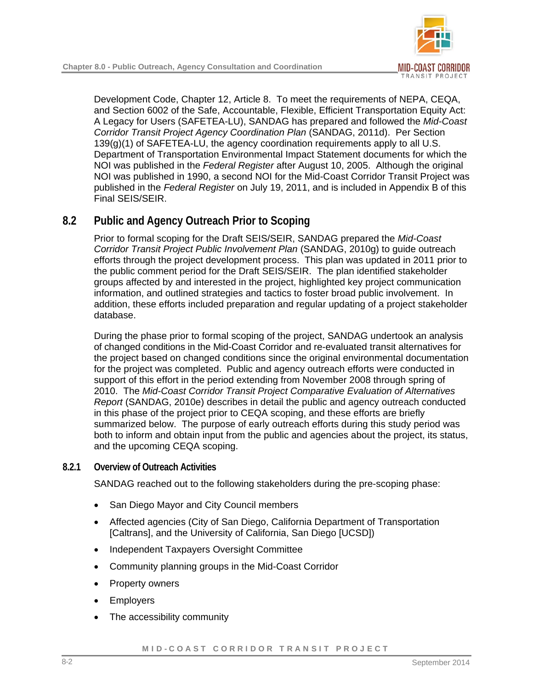

Development Code, Chapter 12, Article 8. To meet the requirements of NEPA, CEQA, and Section 6002 of the Safe, Accountable, Flexible, Efficient Transportation Equity Act: A Legacy for Users (SAFETEA-LU), SANDAG has prepared and followed the *Mid-Coast Corridor Transit Project Agency Coordination Plan* (SANDAG, 2011d). Per Section 139(g)(1) of SAFETEA-LU, the agency coordination requirements apply to all U.S. Department of Transportation Environmental Impact Statement documents for which the NOI was published in the *Federal Register* after August 10, 2005. Although the original NOI was published in 1990, a second NOI for the Mid-Coast Corridor Transit Project was published in the *Federal Register* on July 19, 2011, and is included in Appendix B of this Final SEIS/SEIR.

# **8.2 Public and Agency Outreach Prior to Scoping**

Prior to formal scoping for the Draft SEIS/SEIR, SANDAG prepared the *Mid-Coast Corridor Transit Project Public Involvement Plan* (SANDAG, 2010g) to guide outreach efforts through the project development process. This plan was updated in 2011 prior to the public comment period for the Draft SEIS/SEIR. The plan identified stakeholder groups affected by and interested in the project, highlighted key project communication information, and outlined strategies and tactics to foster broad public involvement. In addition, these efforts included preparation and regular updating of a project stakeholder database.

During the phase prior to formal scoping of the project, SANDAG undertook an analysis of changed conditions in the Mid-Coast Corridor and re-evaluated transit alternatives for the project based on changed conditions since the original environmental documentation for the project was completed. Public and agency outreach efforts were conducted in support of this effort in the period extending from November 2008 through spring of 2010. The *Mid-Coast Corridor Transit Project Comparative Evaluation of Alternatives Report* (SANDAG, 2010e) describes in detail the public and agency outreach conducted in this phase of the project prior to CEQA scoping, and these efforts are briefly summarized below. The purpose of early outreach efforts during this study period was both to inform and obtain input from the public and agencies about the project, its status, and the upcoming CEQA scoping.

**8.2.1 Overview of Outreach Activities** 

SANDAG reached out to the following stakeholders during the pre-scoping phase:

- San Diego Mayor and City Council members
- Affected agencies (City of San Diego, California Department of Transportation [Caltrans], and the University of California, San Diego [UCSD])
- Independent Taxpayers Oversight Committee
- Community planning groups in the Mid-Coast Corridor
- Property owners
- Employers
- The accessibility community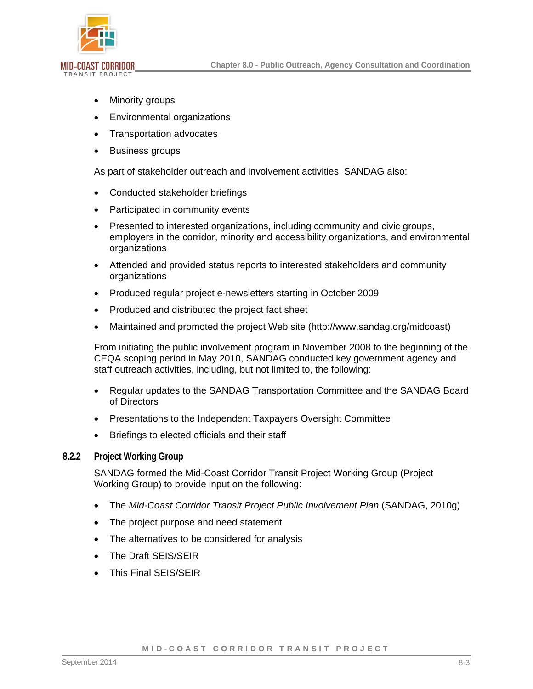

- Minority groups
- Environmental organizations
- Transportation advocates
- Business groups

As part of stakeholder outreach and involvement activities, SANDAG also:

- Conducted stakeholder briefings
- Participated in community events
- Presented to interested organizations, including community and civic groups, employers in the corridor, minority and accessibility organizations, and environmental organizations
- Attended and provided status reports to interested stakeholders and community organizations
- Produced regular project e-newsletters starting in October 2009
- Produced and distributed the project fact sheet
- Maintained and promoted the project Web site (<http://www.sandag.org/midcoast>)

From initiating the public involvement program in November 2008 to the beginning of the CEQA scoping period in May 2010, SANDAG conducted key government agency and staff outreach activities, including, but not limited to, the following:

- Regular updates to the SANDAG Transportation Committee and the SANDAG Board of Directors
- Presentations to the Independent Taxpayers Oversight Committee
- Briefings to elected officials and their staff

### **8.2.2 Project Working Group**

SANDAG formed the Mid-Coast Corridor Transit Project Working Group (Project Working Group) to provide input on the following:

- The *Mid-Coast Corridor Transit Project Public Involvement Plan* (SANDAG, 2010g)
- The project purpose and need statement
- The alternatives to be considered for analysis
- The Draft SEIS/SEIR
- This Final SEIS/SEIR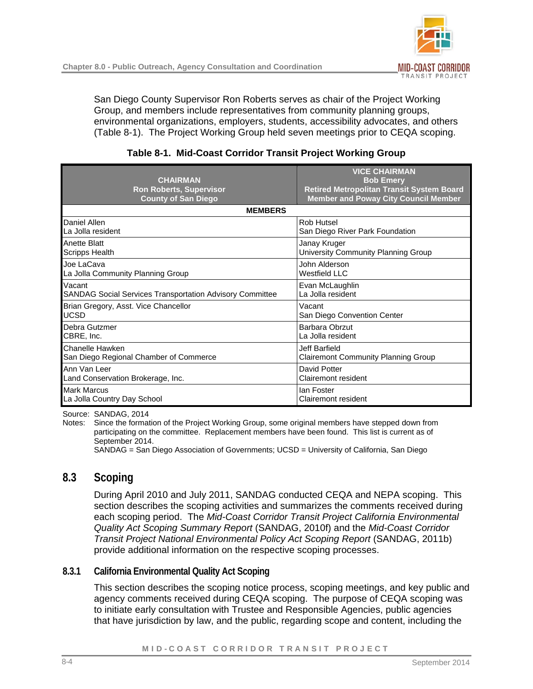San Diego County Supervisor Ron Roberts serves as chair of the Project Working Group, and members include representatives from community planning groups, environmental organizations, employers, students, accessibility advocates, and others ([Table 8-1](#page-3-0)). The Project Working Group held seven meetings prior to CEQA scoping.

| <b>CHAIRMAN</b><br><b>Ron Roberts, Supervisor</b><br><b>County of San Diego</b> | <b>VICE CHAIRMAN</b><br><b>Bob Emery</b><br><b>Retired Metropolitan Transit System Board</b><br><b>Member and Poway City Council Member</b> |
|---------------------------------------------------------------------------------|---------------------------------------------------------------------------------------------------------------------------------------------|
| <b>MEMBERS</b>                                                                  |                                                                                                                                             |
| Daniel Allen                                                                    | Rob Hutsel                                                                                                                                  |
| La Jolla resident                                                               | San Diego River Park Foundation                                                                                                             |
| <b>Anette Blatt</b>                                                             | Janay Kruger                                                                                                                                |
| <b>Scripps Health</b>                                                           | University Community Planning Group                                                                                                         |
| Joe LaCava                                                                      | John Alderson                                                                                                                               |
| La Jolla Community Planning Group                                               | <b>Westfield LLC</b>                                                                                                                        |
| Vacant                                                                          | Evan McLaughlin                                                                                                                             |
| SANDAG Social Services Transportation Advisory Committee                        | La Jolla resident                                                                                                                           |
| Brian Gregory, Asst. Vice Chancellor                                            | Vacant                                                                                                                                      |
| <b>UCSD</b>                                                                     | San Diego Convention Center                                                                                                                 |
| <b>Debra Gutzmer</b>                                                            | Barbara Obrzut                                                                                                                              |
| CBRE, Inc.                                                                      | La Jolla resident                                                                                                                           |
| Chanelle Hawken                                                                 | Jeff Barfield                                                                                                                               |
| San Diego Regional Chamber of Commerce                                          | <b>Clairemont Community Planning Group</b>                                                                                                  |
| Ann Van Leer                                                                    | David Potter                                                                                                                                |
| Land Conservation Brokerage, Inc.                                               | Clairemont resident                                                                                                                         |
| <b>Mark Marcus</b>                                                              | lan Foster                                                                                                                                  |
| La Jolla Country Day School                                                     | Clairemont resident                                                                                                                         |

### <span id="page-3-0"></span>**Table 8-1. Mid-Coast Corridor Transit Project Working Group**

Source: SANDAG, 2014

Notes: Since the formation of the Project Working Group, some original members have stepped down from participating on the committee. Replacement members have been found. This list is current as of September 2014.

SANDAG = San Diego Association of Governments; UCSD = University of California, San Diego

# **8.3 Scoping**

During April 2010 and July 2011, SANDAG conducted CEQA and NEPA scoping. This section describes the scoping activities and summarizes the comments received during each scoping period. The *Mid-Coast Corridor Transit Project California Environmental Quality Act Scoping Summary Report* (SANDAG, 2010f) and the *Mid-Coast Corridor Transit Project National Environmental Policy Act Scoping Report* (SANDAG, 2011b) provide additional information on the respective scoping processes.

### **8.3.1 California Environmental Quality Act Scoping**

This section describes the scoping notice process, scoping meetings, and key public and agency comments received during CEQA scoping. The purpose of CEQA scoping was to initiate early consultation with Trustee and Responsible Agencies, public agencies that have jurisdiction by law, and the public, regarding scope and content, including the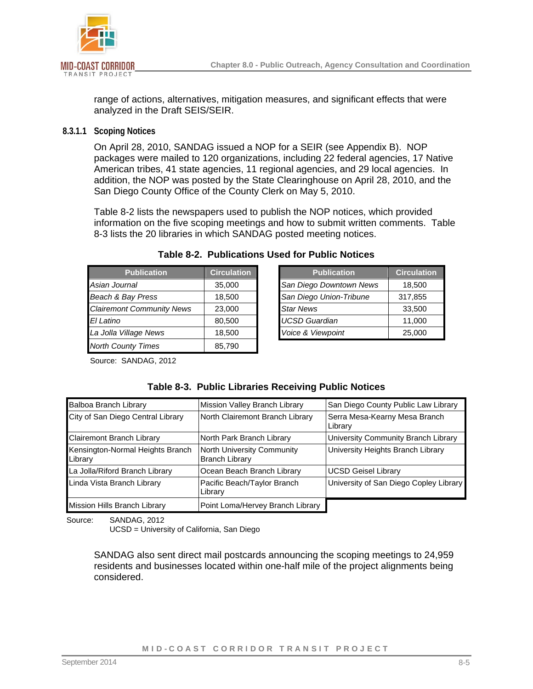

range of actions, alternatives, mitigation measures, and significant effects that were analyzed in the Draft SEIS/SEIR.

#### **8.3.1.1 Scoping Notices**

On April 28, 2010, SANDAG issued a NOP for a SEIR (see Appendix B). NOP packages were mailed to 120 organizations, including 22 federal agencies, 17 Native American tribes, 41 state agencies, 11 regional agencies, and 29 local agencies. In addition, the NOP was posted by the State Clearinghouse on April 28, 2010, and the San Diego County Office of the County Clerk on May 5, 2010.

[Table 8-2](#page-4-0) lists the newspapers used to publish the NOP notices, which provided information on the five scoping meetings and how to submit written comments. [Table](#page-4-1)  [8-3](#page-4-1) lists the 20 libraries in which SANDAG posted meeting notices.

| <b>Publication</b>               | <b>Circulation</b> | <b>Publication</b>      |
|----------------------------------|--------------------|-------------------------|
| Asian Journal                    | 35,000             | San Diego Downtown News |
| Beach & Bay Press                | 18,500             | San Diego Union-Tribune |
| <b>Clairemont Community News</b> | 23,000             | <b>Star News</b>        |
| El Latino                        | 80.500             | <b>UCSD Guardian</b>    |
| La Jolla Village News            | 18.500             | Voice & Viewpoint       |
| <b>North County Times</b>        | 85,790             |                         |

#### <span id="page-4-0"></span>**Table 8-2. Publications Used for Public Notices**

| <b>Publication</b> | <b>Circulation</b> | <b>Publication</b>      | <b>Circulation</b> |
|--------------------|--------------------|-------------------------|--------------------|
| rnal               | 35,000             | San Diego Downtown News | 18.500             |
| Bay Press          | 18,500             | San Diego Union-Tribune | 317,855            |
| t Community News   | 23,000             | <b>Star News</b>        | 33,500             |
|                    | 80,500             | <b>UCSD Guardian</b>    | 11,000             |
| illage News        | 18,500             | Voice & Viewpoint       | 25,000             |

Source: SANDAG, 2012

<span id="page-4-1"></span>

|  | Table 8-3. Public Libraries Receiving Public Notices |  |  |
|--|------------------------------------------------------|--|--|
|--|------------------------------------------------------|--|--|

| Balboa Branch Library                       | Mission Valley Branch Library                       | San Diego County Public Law Library      |
|---------------------------------------------|-----------------------------------------------------|------------------------------------------|
| City of San Diego Central Library           | North Clairemont Branch Library                     | Serra Mesa-Kearny Mesa Branch<br>Library |
| <b>Clairemont Branch Library</b>            | North Park Branch Library                           | University Community Branch Library      |
| Kensington-Normal Heights Branch<br>Library | North University Community<br><b>Branch Library</b> | University Heights Branch Library        |
| La Jolla/Riford Branch Library              | Ocean Beach Branch Library                          | <b>UCSD Geisel Library</b>               |
| Linda Vista Branch Library                  | Pacific Beach/Taylor Branch<br>Library              | University of San Diego Copley Library   |
| Mission Hills Branch Library                | Point Loma/Hervey Branch Library                    |                                          |

Source: SANDAG, 2012

UCSD = University of California, San Diego

SANDAG also sent direct mail postcards announcing the scoping meetings to 24,959 residents and businesses located within one-half mile of the project alignments being considered.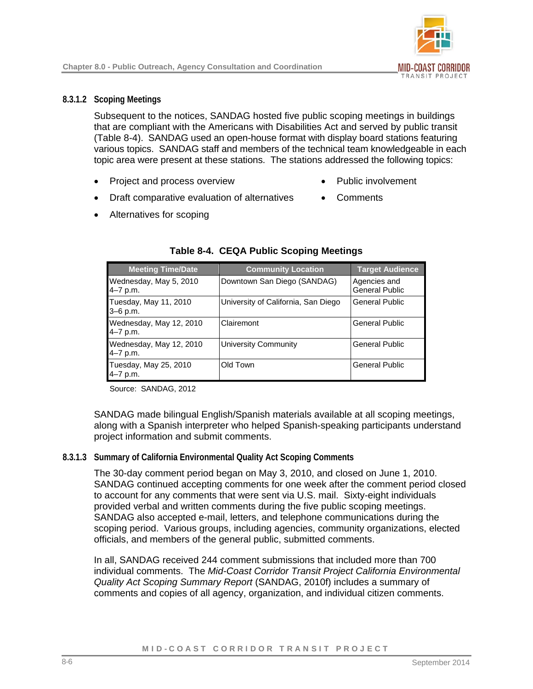### **8.3.1.2 Scoping Meetings**

Subsequent to the notices, SANDAG hosted five public scoping meetings in buildings that are compliant with the Americans with Disabilities Act and served by public transit ([Table 8-4](#page-5-0)). SANDAG used an open-house format with display board stations featuring various topics. SANDAG staff and members of the technical team knowledgeable in each topic area were present at these stations. The stations addressed the following topics:

• Project and process overview

Public involvement

**Comments** 

- Draft comparative evaluation of alternatives
- Alternatives for scoping

| <b>Meeting Time/Date</b>            | <b>Community Location</b>           | <b>Target Audience</b>                |
|-------------------------------------|-------------------------------------|---------------------------------------|
| Wednesday, May 5, 2010<br>4–7 p.m.  | Downtown San Diego (SANDAG)         | Agencies and<br><b>General Public</b> |
| Tuesday, May 11, 2010<br>3–6 p.m.   | University of California, San Diego | <b>General Public</b>                 |
| Wednesday, May 12, 2010<br>4–7 p.m. | Clairemont                          | <b>General Public</b>                 |
| Wednesday, May 12, 2010<br>4–7 p.m. | University Community                | <b>General Public</b>                 |
| Tuesday, May 25, 2010<br>4–7 p.m.   | Old Town                            | <b>General Public</b>                 |

#### <span id="page-5-0"></span>**Table 8-4. CEQA Public Scoping Meetings**

Source: SANDAG, 2012

SANDAG made bilingual English/Spanish materials available at all scoping meetings, along with a Spanish interpreter who helped Spanish-speaking participants understand project information and submit comments.

#### **8.3.1.3 Summary of California Environmental Quality Act Scoping Comments**

The 30-day comment period began on May 3, 2010, and closed on June 1, 2010. SANDAG continued accepting comments for one week after the comment period closed to account for any comments that were sent via U.S. mail. Sixty-eight individuals provided verbal and written comments during the five public scoping meetings. SANDAG also accepted e-mail, letters, and telephone communications during the scoping period. Various groups, including agencies, community organizations, elected officials, and members of the general public, submitted comments.

In all, SANDAG received 244 comment submissions that included more than 700 individual comments. The *Mid-Coast Corridor Transit Project California Environmental Quality Act Scoping Summary Report* (SANDAG, 2010f) includes a summary of comments and copies of all agency, organization, and individual citizen comments.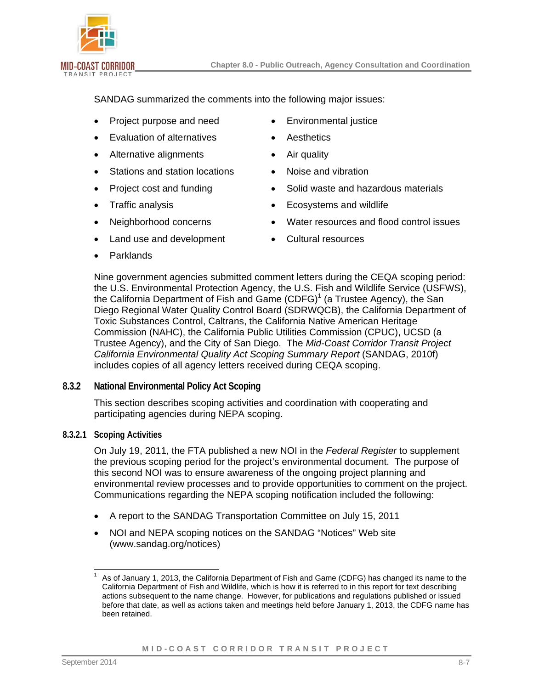

SANDAG summarized the comments into the following major issues:

- Project purpose and need
- Evaluation of alternatives
- Alternative alignments
- Stations and station locations
- Project cost and funding
- Traffic analysis
- Neighborhood concerns
- Land use and development
- Parklands
- Environmental justice
- **Aesthetics**
- Air quality
- Noise and vibration
- Solid waste and hazardous materials
- Ecosystems and wildlife
- Water resources and flood control issues
- Cultural resources

Nine government agencies submitted comment letters during the CEQA scoping period: the U.S. Environmental Protection Agency, the U.S. Fish and Wildlife Service (USFWS), the California Department of Fish and Game  $(CDFG)^1$  $(CDFG)^1$  (a Trustee Agency), the San Diego Regional Water Quality Control Board (SDRWQCB), the California Department of Toxic Substances Control, Caltrans, the California Native American Heritage Commission (NAHC), the California Public Utilities Commission (CPUC), UCSD (a Trustee Agency), and the City of San Diego. The *Mid-Coast Corridor Transit Project California Environmental Quality Act Scoping Summary Report* (SANDAG, 2010f) includes copies of all agency letters received during CEQA scoping.

#### **8.3.2 National Environmental Policy Act Scoping**

This section describes scoping activities and coordination with cooperating and participating agencies during NEPA scoping.

#### **8.3.2.1 Scoping Activities**

On July 19, 2011, the FTA published a new NOI in the *Federal Register* to supplement the previous scoping period for the project's environmental document. The purpose of this second NOI was to ensure awareness of the ongoing project planning and environmental review processes and to provide opportunities to comment on the project. Communications regarding the NEPA scoping notification included the following:

- A report to the SANDAG Transportation Committee on July 15, 2011
- NOI and NEPA scoping notices on the SANDAG "Notices" Web site (www.sandag.org/notices)

<span id="page-6-0"></span> 1 As of January 1, 2013, the California Department of Fish and Game (CDFG) has changed its name to the California Department of Fish and Wildlife, which is how it is referred to in this report for text describing actions subsequent to the name change. However, for publications and regulations published or issued before that date, as well as actions taken and meetings held before January 1, 2013, the CDFG name has been retained.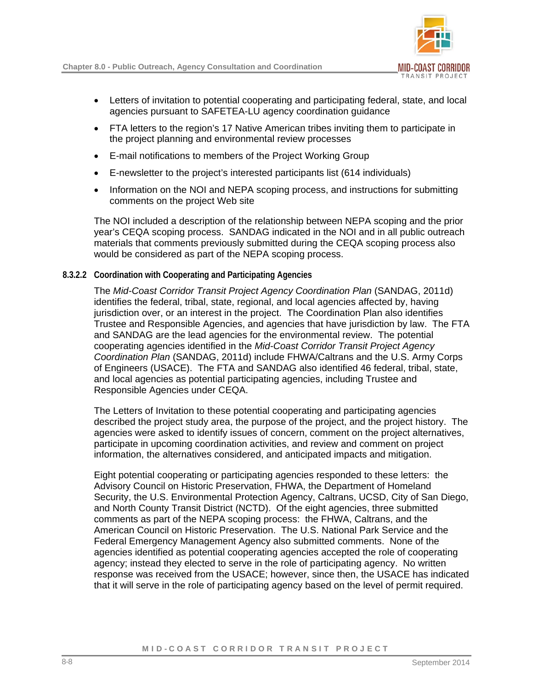- Letters of invitation to potential cooperating and participating federal, state, and local agencies pursuant to SAFETEA-LU agency coordination guidance
- FTA letters to the region's 17 Native American tribes inviting them to participate in the project planning and environmental review processes
- E-mail notifications to members of the Project Working Group
- E-newsletter to the project's interested participants list (614 individuals)
- Information on the NOI and NEPA scoping process, and instructions for submitting comments on the project Web site

The NOI included a description of the relationship between NEPA scoping and the prior year's CEQA scoping process. SANDAG indicated in the NOI and in all public outreach materials that comments previously submitted during the CEQA scoping process also would be considered as part of the NEPA scoping process.

## **8.3.2.2 Coordination with Cooperating and Participating Agencies**

The *Mid-Coast Corridor Transit Project Agency Coordination Plan* (SANDAG, 2011d) identifies the federal, tribal, state, regional, and local agencies affected by, having jurisdiction over, or an interest in the project. The Coordination Plan also identifies Trustee and Responsible Agencies, and agencies that have jurisdiction by law. The FTA and SANDAG are the lead agencies for the environmental review. The potential cooperating agencies identified in the *Mid-Coast Corridor Transit Project Agency Coordination Plan* (SANDAG, 2011d) include FHWA/Caltrans and the U.S. Army Corps of Engineers (USACE). The FTA and SANDAG also identified 46 federal, tribal, state, and local agencies as potential participating agencies, including Trustee and Responsible Agencies under CEQA.

The Letters of Invitation to these potential cooperating and participating agencies described the project study area, the purpose of the project, and the project history. The agencies were asked to identify issues of concern, comment on the project alternatives, participate in upcoming coordination activities, and review and comment on project information, the alternatives considered, and anticipated impacts and mitigation.

Eight potential cooperating or participating agencies responded to these letters: the Advisory Council on Historic Preservation, FHWA, the Department of Homeland Security, the U.S. Environmental Protection Agency, Caltrans, UCSD, City of San Diego, and North County Transit District (NCTD). Of the eight agencies, three submitted comments as part of the NEPA scoping process: the FHWA, Caltrans, and the American Council on Historic Preservation. The U.S. National Park Service and the Federal Emergency Management Agency also submitted comments. None of the agencies identified as potential cooperating agencies accepted the role of cooperating agency; instead they elected to serve in the role of participating agency. No written response was received from the USACE; however, since then, the USACE has indicated that it will serve in the role of participating agency based on the level of permit required.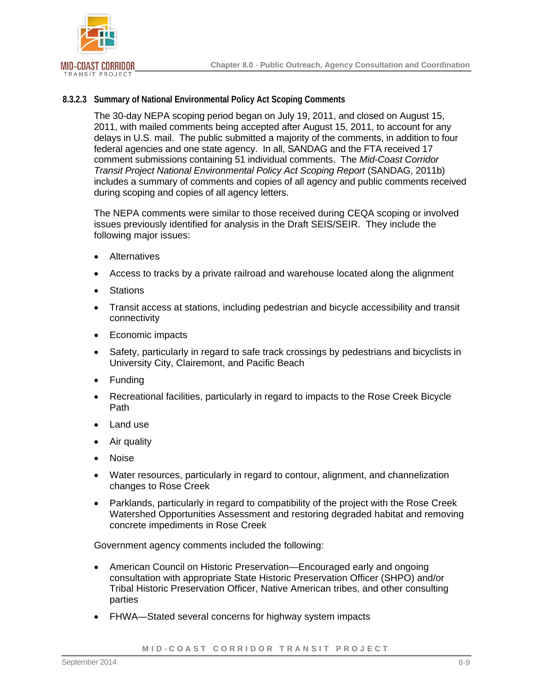

#### **8.3.2.3 Summary of National Environmental Policy Act Scoping Comments**

The 30-day NEPA scoping period began on July 19, 2011, and closed on August 15, 2011, with mailed comments being accepted after August 15, 2011, to account for any delays in U.S. mail. The public submitted a majority of the comments, in addition to four federal agencies and one state agency. In all, SANDAG and the FTA received 17 comment submissions containing 51 individual comments. The *Mid-Coast Corridor Transit Project National Environmental Policy Act Scoping Report* (SANDAG, 2011b) includes a summary of comments and copies of all agency and public comments received during scoping and copies of all agency letters.

The NEPA comments were similar to those received during CEQA scoping or involved issues previously identified for analysis in the Draft SEIS/SEIR. They include the following major issues:

- Alternatives
- Access to tracks by a private railroad and warehouse located along the alignment
- Stations
- Transit access at stations, including pedestrian and bicycle accessibility and transit connectivity
- Economic impacts
- Safety, particularly in regard to safe track crossings by pedestrians and bicyclists in University City, Clairemont, and Pacific Beach
- Funding
- Recreational facilities, particularly in regard to impacts to the Rose Creek Bicycle Path
- Land use
- Air quality
- Noise
- Water resources, particularly in regard to contour, alignment, and channelization changes to Rose Creek
- Parklands, particularly in regard to compatibility of the project with the Rose Creek Watershed Opportunities Assessment and restoring degraded habitat and removing concrete impediments in Rose Creek

Government agency comments included the following:

- American Council on Historic Preservation—Encouraged early and ongoing consultation with appropriate State Historic Preservation Officer (SHPO) and/or Tribal Historic Preservation Officer, Native American tribes, and other consulting parties
- FHWA—Stated several concerns for highway system impacts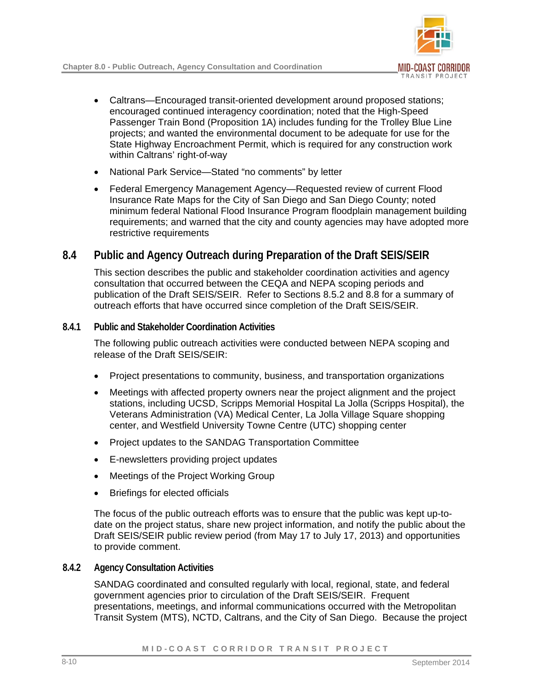

- Caltrans—Encouraged transit-oriented development around proposed stations; encouraged continued interagency coordination; noted that the High-Speed Passenger Train Bond (Proposition 1A) includes funding for the Trolley Blue Line projects; and wanted the environmental document to be adequate for use for the State Highway Encroachment Permit, which is required for any construction work within Caltrans' right-of-way
- National Park Service—Stated "no comments" by letter
- Federal Emergency Management Agency—Requested review of current Flood Insurance Rate Maps for the City of San Diego and San Diego County; noted minimum federal National Flood Insurance Program floodplain management building requirements; and warned that the city and county agencies may have adopted more restrictive requirements

# **8.4 Public and Agency Outreach during Preparation of the Draft SEIS/SEIR**

This section describes the public and stakeholder coordination activities and agency consultation that occurred between the CEQA and NEPA scoping periods and publication of the Draft SEIS/SEIR. Refer to Sections [8.5.2](#page-14-0) and [8.8](#page-18-0) for a summary of outreach efforts that have occurred since completion of the Draft SEIS/SEIR.

### **8.4.1 Public and Stakeholder Coordination Activities**

The following public outreach activities were conducted between NEPA scoping and release of the Draft SEIS/SEIR:

- Project presentations to community, business, and transportation organizations
- Meetings with affected property owners near the project alignment and the project stations, including UCSD, Scripps Memorial Hospital La Jolla (Scripps Hospital), the Veterans Administration (VA) Medical Center, La Jolla Village Square shopping center, and Westfield University Towne Centre (UTC) shopping center
- Project updates to the SANDAG Transportation Committee
- E-newsletters providing project updates
- Meetings of the Project Working Group
- Briefings for elected officials

The focus of the public outreach efforts was to ensure that the public was kept up-todate on the project status, share new project information, and notify the public about the Draft SEIS/SEIR public review period (from May 17 to July 17, 2013) and opportunities to provide comment.

#### **8.4.2 Agency Consultation Activities**

SANDAG coordinated and consulted regularly with local, regional, state, and federal government agencies prior to circulation of the Draft SEIS/SEIR. Frequent presentations, meetings, and informal communications occurred with the Metropolitan Transit System (MTS), NCTD, Caltrans, and the City of San Diego. Because the project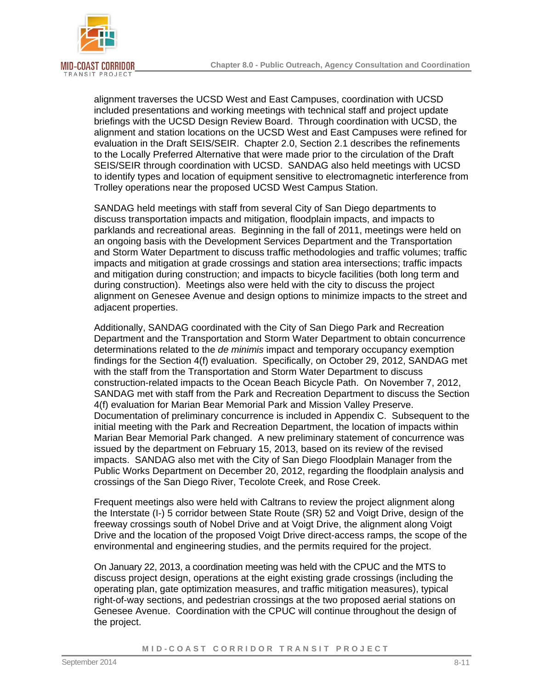

alignment traverses the UCSD West and East Campuses, coordination with UCSD included presentations and working meetings with technical staff and project update briefings with the UCSD Design Review Board. Through coordination with UCSD, the alignment and station locations on the UCSD West and East Campuses were refined for evaluation in the Draft SEIS/SEIR. Chapter 2.0, Section 2.1 describes the refinements to the Locally Preferred Alternative that were made prior to the circulation of the Draft SEIS/SEIR through coordination with UCSD. SANDAG also held meetings with UCSD to identify types and location of equipment sensitive to electromagnetic interference from Trolley operations near the proposed UCSD West Campus Station.

SANDAG held meetings with staff from several City of San Diego departments to discuss transportation impacts and mitigation, floodplain impacts, and impacts to parklands and recreational areas. Beginning in the fall of 2011, meetings were held on an ongoing basis with the Development Services Department and the Transportation and Storm Water Department to discuss traffic methodologies and traffic volumes; traffic impacts and mitigation at grade crossings and station area intersections; traffic impacts and mitigation during construction; and impacts to bicycle facilities (both long term and during construction). Meetings also were held with the city to discuss the project alignment on Genesee Avenue and design options to minimize impacts to the street and adjacent properties.

Additionally, SANDAG coordinated with the City of San Diego Park and Recreation Department and the Transportation and Storm Water Department to obtain concurrence determinations related to the *de minimis* impact and temporary occupancy exemption findings for the Section 4(f) evaluation. Specifically, on October 29, 2012, SANDAG met with the staff from the Transportation and Storm Water Department to discuss construction-related impacts to the Ocean Beach Bicycle Path. On November 7, 2012, SANDAG met with staff from the Park and Recreation Department to discuss the Section 4(f) evaluation for Marian Bear Memorial Park and Mission Valley Preserve. Documentation of preliminary concurrence is included in Appendix C. Subsequent to the initial meeting with the Park and Recreation Department, the location of impacts within Marian Bear Memorial Park changed. A new preliminary statement of concurrence was issued by the department on February 15, 2013, based on its review of the revised impacts. SANDAG also met with the City of San Diego Floodplain Manager from the Public Works Department on December 20, 2012, regarding the floodplain analysis and crossings of the San Diego River, Tecolote Creek, and Rose Creek.

Frequent meetings also were held with Caltrans to review the project alignment along the Interstate (I-) 5 corridor between State Route (SR) 52 and Voigt Drive, design of the freeway crossings south of Nobel Drive and at Voigt Drive, the alignment along Voigt Drive and the location of the proposed Voigt Drive direct-access ramps, the scope of the environmental and engineering studies, and the permits required for the project.

On January 22, 2013, a coordination meeting was held with the CPUC and the MTS to discuss project design, operations at the eight existing grade crossings (including the operating plan, gate optimization measures, and traffic mitigation measures), typical right-of-way sections, and pedestrian crossings at the two proposed aerial stations on Genesee Avenue. Coordination with the CPUC will continue throughout the design of the project.

MID-COAST CORRIDOR TRANSIT PROJECT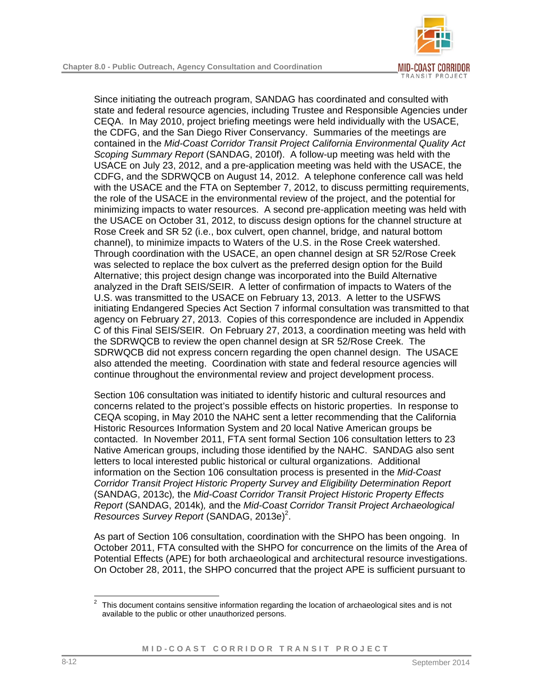

Since initiating the outreach program, SANDAG has coordinated and consulted with state and federal resource agencies, including Trustee and Responsible Agencies under CEQA. In May 2010, project briefing meetings were held individually with the USACE, the CDFG, and the San Diego River Conservancy. Summaries of the meetings are contained in the *Mid-Coast Corridor Transit Project California Environmental Quality Act Scoping Summary Report* (SANDAG, 2010f). A follow-up meeting was held with the USACE on July 23, 2012, and a pre-application meeting was held with the USACE, the CDFG, and the SDRWQCB on August 14, 2012. A telephone conference call was held with the USACE and the FTA on September 7, 2012, to discuss permitting requirements, the role of the USACE in the environmental review of the project, and the potential for minimizing impacts to water resources. A second pre-application meeting was held with the USACE on October 31, 2012, to discuss design options for the channel structure at Rose Creek and SR 52 (i.e., box culvert, open channel, bridge, and natural bottom channel), to minimize impacts to Waters of the U.S. in the Rose Creek watershed. Through coordination with the USACE, an open channel design at SR 52/Rose Creek was selected to replace the box culvert as the preferred design option for the Build Alternative; this project design change was incorporated into the Build Alternative analyzed in the Draft SEIS/SEIR. A letter of confirmation of impacts to Waters of the U.S. was transmitted to the USACE on February 13, 2013. A letter to the USFWS initiating Endangered Species Act Section 7 informal consultation was transmitted to that agency on February 27, 2013. Copies of this correspondence are included in Appendix C of this Final SEIS/SEIR. On February 27, 2013, a coordination meeting was held with the SDRWQCB to review the open channel design at SR 52/Rose Creek. The SDRWQCB did not express concern regarding the open channel design. The USACE also attended the meeting. Coordination with state and federal resource agencies will continue throughout the environmental review and project development process.

Section 106 consultation was initiated to identify historic and cultural resources and concerns related to the project's possible effects on historic properties. In response to CEQA scoping, in May 2010 the NAHC sent a letter recommending that the California Historic Resources Information System and 20 local Native American groups be contacted. In November 2011, FTA sent formal Section 106 consultation letters to 23 Native American groups, including those identified by the NAHC. SANDAG also sent letters to local interested public historical or cultural organizations. Additional information on the Section 106 consultation process is presented in the *Mid-Coast Corridor Transit Project Historic Property Survey and Eligibility Determination Report*  (SANDAG, 2013c)*,* the *Mid-Coast Corridor Transit Project Historic Property Effects Report* (SANDAG, 2014k)*,* and the *Mid-Coast Corridor Transit Project Archaeological*  Resources Survey Report (SANDAG, [2](#page-11-0)013e)<sup>2</sup>.

As part of Section 106 consultation, coordination with the SHPO has been ongoing. In October 2011, FTA consulted with the SHPO for concurrence on the limits of the Area of Potential Effects (APE) for both archaeological and architectural resource investigations. On October 28, 2011, the SHPO concurred that the project APE is sufficient pursuant to

<span id="page-11-0"></span> $\frac{1}{2}$  This document contains sensitive information regarding the location of archaeological sites and is not available to the public or other unauthorized persons.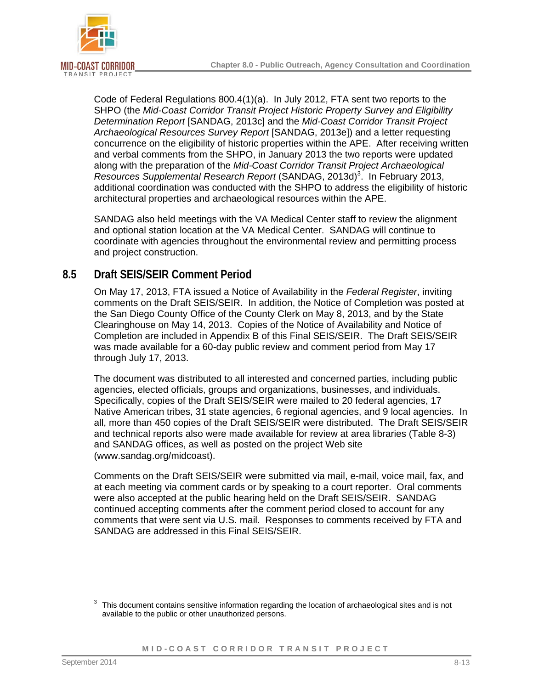

Code of Federal Regulations 800.4(1)(a). In July 2012, FTA sent two reports to the SHPO (the *Mid-Coast Corridor Transit Project Historic Property Survey and Eligibility Determination Report* [SANDAG, 2013c] and the *Mid-Coast Corridor Transit Project Archaeological Resources Survey Report* [SANDAG, 2013e]) and a letter requesting concurrence on the eligibility of historic properties within the APE. After receiving written and verbal comments from the SHPO, in January 2013 the two reports were updated along with the preparation of the *Mid-Coast Corridor Transit Project Archaeological*  Resources Supplemental Research Report (SANDAG, 201[3](#page-12-0)d)<sup>3</sup>. In February 2013, additional coordination was conducted with the SHPO to address the eligibility of historic architectural properties and archaeological resources within the APE.

SANDAG also held meetings with the VA Medical Center staff to review the alignment and optional station location at the VA Medical Center. SANDAG will continue to coordinate with agencies throughout the environmental review and permitting process and project construction.

# **8.5 Draft SEIS/SEIR Comment Period**

On May 17, 2013, FTA issued a Notice of Availability in the *Federal Register*, inviting comments on the Draft SEIS/SEIR. In addition, the Notice of Completion was posted at the San Diego County Office of the County Clerk on May 8, 2013, and by the State Clearinghouse on May 14, 2013. Copies of the Notice of Availability and Notice of Completion are included in Appendix B of this Final SEIS/SEIR. The Draft SEIS/SEIR was made available for a 60-day public review and comment period from May 17 through July 17, 2013.

The document was distributed to all interested and concerned parties, including public agencies, elected officials, groups and organizations, businesses, and individuals. Specifically, copies of the Draft SEIS/SEIR were mailed to 20 federal agencies, 17 Native American tribes, 31 state agencies, 6 regional agencies, and 9 local agencies. In all, more than 450 copies of the Draft SEIS/SEIR were distributed. The Draft SEIS/SEIR and technical reports also were made available for review at area libraries ([Table 8-3\)](#page-4-1) and SANDAG offices, as well as posted on the project Web site (www.sandag.org/midcoast).

Comments on the Draft SEIS/SEIR were submitted via mail, e-mail, voice mail, fax, and at each meeting via comment cards or by speaking to a court reporter. Oral comments were also accepted at the public hearing held on the Draft SEIS/SEIR. SANDAG continued accepting comments after the comment period closed to account for any comments that were sent via U.S. mail. Responses to comments received by FTA and SANDAG are addressed in this Final SEIS/SEIR.

<span id="page-12-0"></span> 3 This document contains sensitive information regarding the location of archaeological sites and is not available to the public or other unauthorized persons.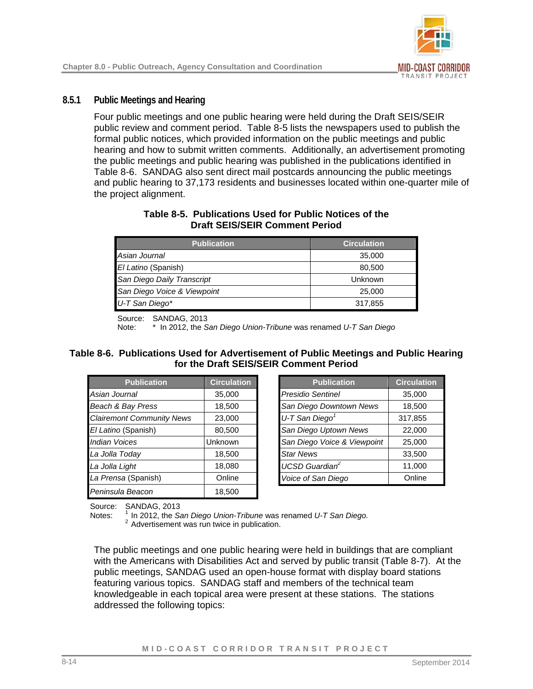

### **8.5.1 Public Meetings and Hearing**

Four public meetings and one public hearing were held during the Draft SEIS/SEIR public review and comment period. [Table 8-5](#page-13-0) lists the newspapers used to publish the formal public notices, which provided information on the public meetings and public hearing and how to submit written comments. Additionally, an advertisement promoting the public meetings and public hearing was published in the publications identified in [Table 8-6](#page-13-1). SANDAG also sent direct mail postcards announcing the public meetings and public hearing to 37,173 residents and businesses located within one-quarter mile of the project alignment.

#### <span id="page-13-0"></span>**Table 8-5. Publications Used for Public Notices of the Draft SEIS/SEIR Comment Period**

| <b>Publication</b>          | <b>Circulation</b> |
|-----------------------------|--------------------|
| Asian Journal               | 35,000             |
| El Latino (Spanish)         | 80,500             |
| San Diego Daily Transcript  | Unknown            |
| San Diego Voice & Viewpoint | 25,000             |
| U-T San Diego*              | 317,855            |

Source: SANDAG, 2013

Note: \* In 2012, the *San Diego Union-Tribune* was renamed *U-T San Diego* 

### <span id="page-13-1"></span>**Table 8-6. Publications Used for Advertisement of Public Meetings and Public Hearing for the Draft SEIS/SEIR Comment Period**

| <b>Publication</b>               | <b>Circulation</b> | <b>Publication</b>          | <b>Circulatio</b> |
|----------------------------------|--------------------|-----------------------------|-------------------|
| Asian Journal                    | 35,000             | <b>Presidio Sentinel</b>    | 35,000            |
| Beach & Bay Press                | 18,500             | San Diego Downtown News     | 18,500            |
| <b>Clairemont Community News</b> | 23,000             | U-T San Diego <sup>1</sup>  | 317,855           |
| El Latino (Spanish)              | 80,500             | San Diego Uptown News       | 22,000            |
| <b>Indian Voices</b>             | <b>Unknown</b>     | San Diego Voice & Viewpoint | 25,000            |
| La Jolla Today                   | 18,500             | <b>Star News</b>            | 33,500            |
| La Jolla Light                   | 18,080             | UCSD Guardian <sup>2</sup>  | 11,000            |
| La Prensa (Spanish)              | Online             | Voice of San Diego          | Online            |
| Peninsula Beacon                 | 18,500             |                             |                   |

| <b>Publication</b> | <b>Circulation</b> | <b>Publication</b>          | <b>Circulation</b> |
|--------------------|--------------------|-----------------------------|--------------------|
| rnal               | 35,000             | <b>Presidio Sentinel</b>    | 35,000             |
| Bay Press          | 18,500             | San Diego Downtown News     | 18,500             |
| t Community News   | 23,000             | U-T San Diego <sup>1</sup>  | 317,855            |
| Spanish)           | 80,500             | San Diego Uptown News       | 22,000             |
| ces                | <b>Unknown</b>     | San Diego Voice & Viewpoint | 25,000             |
| oday               | 18,500             | <b>Star News</b>            | 33,500             |
| ght                | 18,080             | UCSD Guardian <sup>2</sup>  | 11,000             |
| (Spanish)          | Online             | Voice of San Diego          | Online             |
|                    |                    |                             |                    |

Source: SANDAG, 2013

Notes: 1 In 2012, the *San Diego Union-Tribune* was renamed *U-T San Diego.* 2 Advertisement was run twice in publication.

The public meetings and one public hearing were held in buildings that are compliant with the Americans with Disabilities Act and served by public transit ([Table 8-7](#page-14-1)). At the public meetings, SANDAG used an open-house format with display board stations featuring various topics. SANDAG staff and members of the technical team knowledgeable in each topical area were present at these stations. The stations addressed the following topics: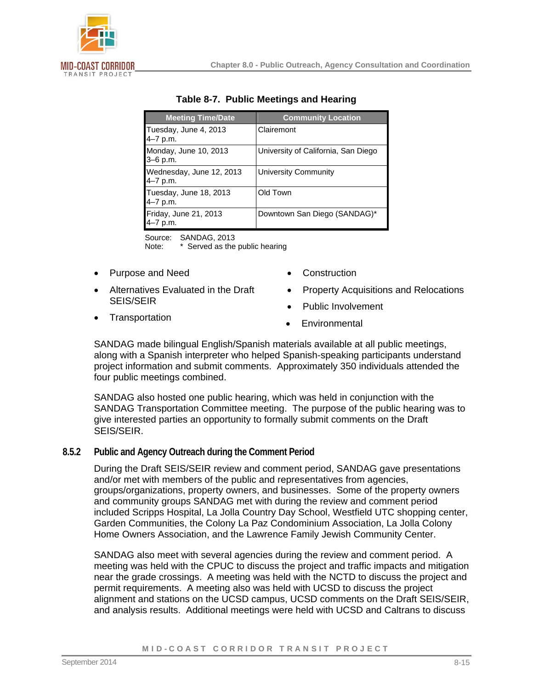

| <b>Meeting Time/Date</b>               | <b>Community Location</b>           |
|----------------------------------------|-------------------------------------|
| Tuesday, June 4, 2013<br>4-7 p.m.      | Clairemont                          |
| Monday, June 10, 2013<br>$3-6$ p.m.    | University of California, San Diego |
| Wednesday, June 12, 2013<br>4-7 p.m.   | University Community                |
| Tuesday, June 18, 2013<br>$4 - 7$ p.m. | Old Town                            |
| Friday, June 21, 2013<br>4-7 p.m.      | Downtown San Diego (SANDAG)*        |

#### <span id="page-14-1"></span>**Table 8-7. Public Meetings and Hearing**

Source: SANDAG, 2013

Note: \* Served as the public hearing

- Purpose and Need
- Alternatives Evaluated in the Draft SEIS/SEIR
- **Construction**
- Property Acquisitions and Relocations
- Public Involvement

• Transportation

**Environmental** 

SANDAG made bilingual English/Spanish materials available at all public meetings, along with a Spanish interpreter who helped Spanish-speaking participants understand project information and submit comments. Approximately 350 individuals attended the four public meetings combined.

SANDAG also hosted one public hearing, which was held in conjunction with the SANDAG Transportation Committee meeting. The purpose of the public hearing was to give interested parties an opportunity to formally submit comments on the Draft SEIS/SEIR.

### **8.5.2 Public and Agency Outreach during the Comment Period**

<span id="page-14-0"></span>During the Draft SEIS/SEIR review and comment period, SANDAG gave presentations and/or met with members of the public and representatives from agencies, groups/organizations, property owners, and businesses. Some of the property owners and community groups SANDAG met with during the review and comment period included Scripps Hospital, La Jolla Country Day School, Westfield UTC shopping center, Garden Communities, the Colony La Paz Condominium Association, La Jolla Colony Home Owners Association, and the Lawrence Family Jewish Community Center.

SANDAG also meet with several agencies during the review and comment period. A meeting was held with the CPUC to discuss the project and traffic impacts and mitigation near the grade crossings. A meeting was held with the NCTD to discuss the project and permit requirements. A meeting also was held with UCSD to discuss the project alignment and stations on the UCSD campus, UCSD comments on the Draft SEIS/SEIR, and analysis results. Additional meetings were held with UCSD and Caltrans to discuss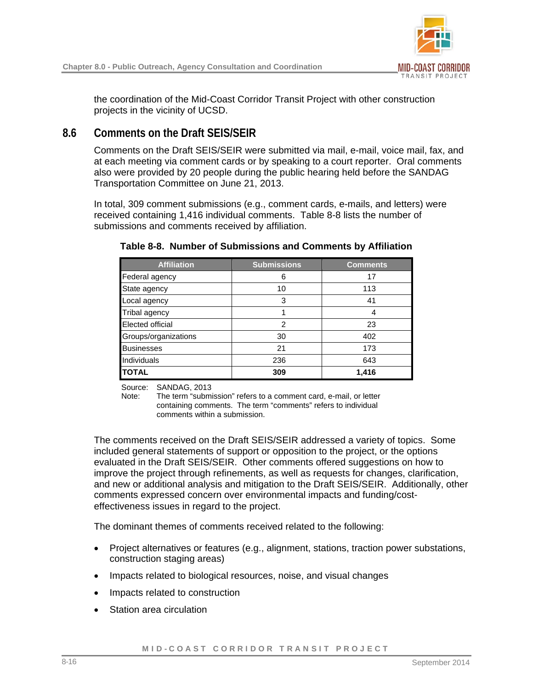

the coordination of the Mid-Coast Corridor Transit Project with other construction projects in the vicinity of UCSD.

# **8.6 Comments on the Draft SEIS/SEIR**

<span id="page-15-0"></span>Comments on the Draft SEIS/SEIR were submitted via mail, e-mail, voice mail, fax, and at each meeting via comment cards or by speaking to a court reporter. Oral comments also were provided by 20 people during the public hearing held before the SANDAG Transportation Committee on June 21, 2013.

In total, 309 comment submissions (e.g., comment cards, e-mails, and letters) were received containing 1,416 individual comments. [Table 8-8](#page-15-1) lists the number of submissions and comments received by affiliation.

| <b>Affiliation</b>      | <b>Submissions</b> | <b>Comments</b> |
|-------------------------|--------------------|-----------------|
| Federal agency          | 6                  | 17              |
| State agency            | 10                 | 113             |
| Local agency            | 3                  | 41              |
| <b>Tribal agency</b>    |                    | 4               |
| <b>Elected official</b> | 2                  | 23              |
| Groups/organizations    | 30                 | 402             |
| <b>Businesses</b>       | 21                 | 173             |
| Individuals             | 236                | 643             |
| <b>TOTAL</b>            | 309                | 1,416           |

### <span id="page-15-1"></span>**Table 8-8. Number of Submissions and Comments by Affiliation**

Source: SANDAG, 2013

Note: The term "submission" refers to a comment card, e-mail, or letter containing comments. The term "comments" refers to individual comments within a submission.

The comments received on the Draft SEIS/SEIR addressed a variety of topics. Some included general statements of support or opposition to the project, or the options evaluated in the Draft SEIS/SEIR. Other comments offered suggestions on how to improve the project through refinements, as well as requests for changes, clarification, and new or additional analysis and mitigation to the Draft SEIS/SEIR. Additionally, other comments expressed concern over environmental impacts and funding/costeffectiveness issues in regard to the project.

The dominant themes of comments received related to the following:

- Project alternatives or features (e.g., alignment, stations, traction power substations, construction staging areas)
- Impacts related to biological resources, noise, and visual changes
- Impacts related to construction
- Station area circulation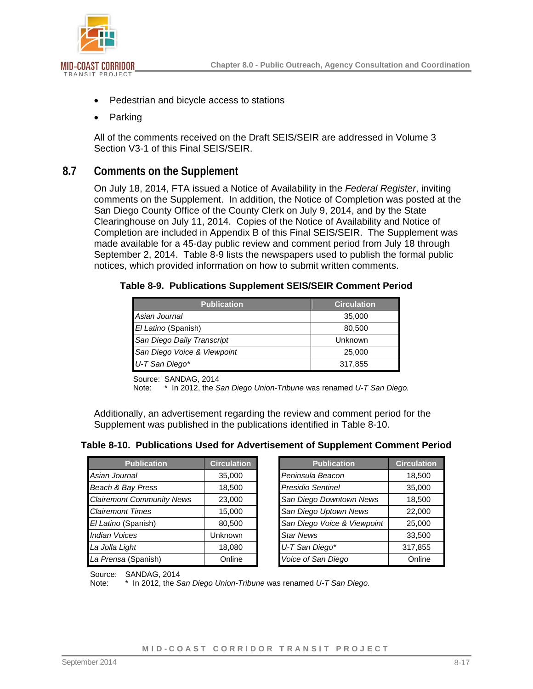



- Pedestrian and bicycle access to stations
- Parking

All of the comments received on the Draft SEIS/SEIR are addressed in Volume 3 Section V3-1 of this Final SEIS/SEIR.

# **8.7 Comments on the Supplement**

<span id="page-16-0"></span>On July 18, 2014, FTA issued a Notice of Availability in the *Federal Register*, inviting comments on the Supplement. In addition, the Notice of Completion was posted at the San Diego County Office of the County Clerk on July 9, 2014, and by the State Clearinghouse on July 11, 2014. Copies of the Notice of Availability and Notice of Completion are included in Appendix B of this Final SEIS/SEIR. The Supplement was made available for a 45-day public review and comment period from July 18 through September 2, 2014. [Table 8-9](#page-16-1) lists the newspapers used to publish the formal public notices, which provided information on how to submit written comments.

### <span id="page-16-1"></span>**Table 8-9. Publications Supplement SEIS/SEIR Comment Period**

| <b>Publication</b>          | <b>Circulation</b> |
|-----------------------------|--------------------|
| Asian Journal               | 35,000             |
| El Latino (Spanish)         | 80,500             |
| San Diego Daily Transcript  | Unknown            |
| San Diego Voice & Viewpoint | 25,000             |
| U-T San Diego*              | 317,855            |

Source: SANDAG, 2014

Note: \* In 2012, the *San Diego Union-Tribune* was renamed *U-T San Diego.*

Additionally, an advertisement regarding the review and comment period for the Supplement was published in the publications identified in [Table 8-10.](#page-16-2)

<span id="page-16-2"></span>

|  |  |  |  |  | Table 8-10. Publications Used for Advertisement of Supplement Comment Period |
|--|--|--|--|--|------------------------------------------------------------------------------|
|--|--|--|--|--|------------------------------------------------------------------------------|

| <b>Publication</b>               | <b>Circulation</b> | <b>Publication</b>          |
|----------------------------------|--------------------|-----------------------------|
| Asian Journal                    | 35,000             | Peninsula Beacon            |
| Beach & Bay Press                | 18,500             | <b>Presidio Sentinel</b>    |
| <b>Clairemont Community News</b> | 23,000             | San Diego Downtown News     |
| <b>Clairemont Times</b>          | 15,000             | San Diego Uptown News       |
| El Latino (Spanish)              | 80,500             | San Diego Voice & Viewpoint |
| <b>Indian Voices</b>             | Unknown            | <b>Star News</b>            |
| La Jolla Light                   | 18,080             | U-T San Diego*              |
| La Prensa (Spanish)              | Online             | Voice of San Diego          |
|                                  |                    |                             |

| <b>Publication</b> | <b>Circulation</b> | <b>Publication</b>          | <b>Circulation</b> |
|--------------------|--------------------|-----------------------------|--------------------|
| rnal               | 35,000             | Peninsula Beacon            | 18,500             |
| Bay Press          | 18,500             | <b>Presidio Sentinel</b>    | 35,000             |
| t Community News   | 23,000             | San Diego Downtown News     | 18,500             |
| ıt Times           | 15,000             | San Diego Uptown News       | 22,000             |
| Spanish)           | 80,500             | San Diego Voice & Viewpoint | 25,000             |
| ces                | Unknown            | <b>Star News</b>            | 33,500             |
| ght                | 18,080             | U-T San Diego*              | 317,855            |
| (Spanish)          | Online             | Voice of San Diego          | Online             |

Source: SANDAG, 2014

Note: \* In 2012, the *San Diego Union-Tribune* was renamed *U-T San Diego.*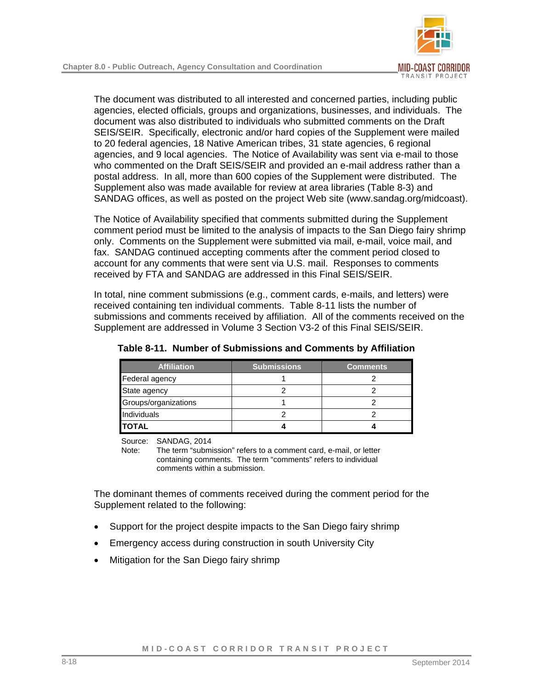

The document was distributed to all interested and concerned parties, including public agencies, elected officials, groups and organizations, businesses, and individuals. The document was also distributed to individuals who submitted comments on the Draft SEIS/SEIR. Specifically, electronic and/or hard copies of the Supplement were mailed to 20 federal agencies, 18 Native American tribes, 31 state agencies, 6 regional agencies, and 9 local agencies. The Notice of Availability was sent via e-mail to those who commented on the Draft SEIS/SEIR and provided an e-mail address rather than a postal address. In all, more than 600 copies of the Supplement were distributed. The Supplement also was made available for review at area libraries ([Table 8-3](#page-4-1)) and SANDAG offices, as well as posted on the project Web site (www.sandag.org/midcoast).

The Notice of Availability specified that comments submitted during the Supplement comment period must be limited to the analysis of impacts to the San Diego fairy shrimp only. Comments on the Supplement were submitted via mail, e-mail, voice mail, and fax. SANDAG continued accepting comments after the comment period closed to account for any comments that were sent via U.S. mail. Responses to comments received by FTA and SANDAG are addressed in this Final SEIS/SEIR.

In total, nine comment submissions (e.g., comment cards, e-mails, and letters) were received containing ten individual comments. [Table 8-11](#page-17-0) lists the number of submissions and comments received by affiliation. All of the comments received on the Supplement are addressed in Volume 3 Section V3-2 of this Final SEIS/SEIR.

| <b>Affiliation</b>   | <b>Submissions</b> | <b>Comments</b> |
|----------------------|--------------------|-----------------|
| Federal agency       |                    |                 |
| State agency         |                    |                 |
| Groups/organizations |                    |                 |
| Individuals          |                    |                 |
| <b>TOTAL</b>         |                    |                 |

<span id="page-17-0"></span>**Table 8-11. Number of Submissions and Comments by Affiliation** 

Source: SANDAG, 2014

Note: The term "submission" refers to a comment card, e-mail, or letter containing comments. The term "comments" refers to individual comments within a submission.

The dominant themes of comments received during the comment period for the Supplement related to the following:

- Support for the project despite impacts to the San Diego fairy shrimp
- Emergency access during construction in south University City
- Mitigation for the San Diego fairy shrimp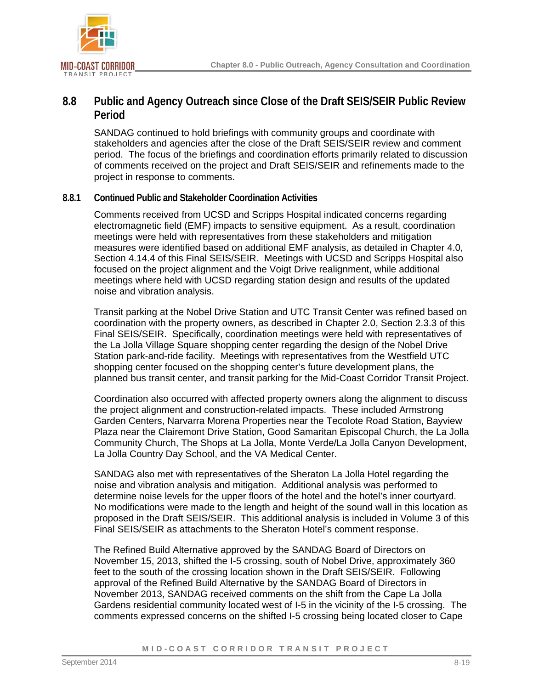

# <span id="page-18-0"></span>**8.8 Public and Agency Outreach since Close of the Draft SEIS/SEIR Public Review Period**

SANDAG continued to hold briefings with community groups and coordinate with stakeholders and agencies after the close of the Draft SEIS/SEIR review and comment period. The focus of the briefings and coordination efforts primarily related to discussion of comments received on the project and Draft SEIS/SEIR and refinements made to the project in response to comments.

### **8.8.1 Continued Public and Stakeholder Coordination Activities**

Comments received from UCSD and Scripps Hospital indicated concerns regarding electromagnetic field (EMF) impacts to sensitive equipment. As a result, coordination meetings were held with representatives from these stakeholders and mitigation measures were identified based on additional EMF analysis, as detailed in Chapter 4.0, Section 4.14.4 of this Final SEIS/SEIR. Meetings with UCSD and Scripps Hospital also focused on the project alignment and the Voigt Drive realignment, while additional meetings where held with UCSD regarding station design and results of the updated noise and vibration analysis.

Transit parking at the Nobel Drive Station and UTC Transit Center was refined based on coordination with the property owners, as described in Chapter 2.0, Section 2.3.3 of this Final SEIS/SEIR. Specifically, coordination meetings were held with representatives of the La Jolla Village Square shopping center regarding the design of the Nobel Drive Station park-and-ride facility. Meetings with representatives from the Westfield UTC shopping center focused on the shopping center's future development plans, the planned bus transit center, and transit parking for the Mid-Coast Corridor Transit Project.

Coordination also occurred with affected property owners along the alignment to discuss the project alignment and construction-related impacts. These included Armstrong Garden Centers, Narvarra Morena Properties near the Tecolote Road Station, Bayview Plaza near the Clairemont Drive Station, Good Samaritan Episcopal Church, the La Jolla Community Church, The Shops at La Jolla, Monte Verde/La Jolla Canyon Development, La Jolla Country Day School, and the VA Medical Center.

SANDAG also met with representatives of the Sheraton La Jolla Hotel regarding the noise and vibration analysis and mitigation. Additional analysis was performed to determine noise levels for the upper floors of the hotel and the hotel's inner courtyard. No modifications were made to the length and height of the sound wall in this location as proposed in the Draft SEIS/SEIR. This additional analysis is included in Volume 3 of this Final SEIS/SEIR as attachments to the Sheraton Hotel's comment response.

The Refined Build Alternative approved by the SANDAG Board of Directors on November 15, 2013, shifted the I-5 crossing, south of Nobel Drive, approximately 360 feet to the south of the crossing location shown in the Draft SEIS/SEIR. Following approval of the Refined Build Alternative by the SANDAG Board of Directors in November 2013, SANDAG received comments on the shift from the Cape La Jolla Gardens residential community located west of I-5 in the vicinity of the I-5 crossing. The comments expressed concerns on the shifted I-5 crossing being located closer to Cape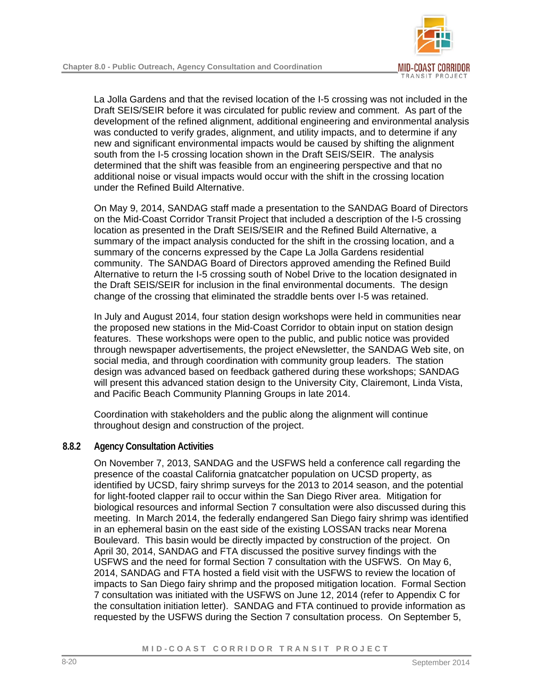

La Jolla Gardens and that the revised location of the I-5 crossing was not included in the Draft SEIS/SEIR before it was circulated for public review and comment. As part of the development of the refined alignment, additional engineering and environmental analysis was conducted to verify grades, alignment, and utility impacts, and to determine if any new and significant environmental impacts would be caused by shifting the alignment south from the I-5 crossing location shown in the Draft SEIS/SEIR. The analysis determined that the shift was feasible from an engineering perspective and that no additional noise or visual impacts would occur with the shift in the crossing location under the Refined Build Alternative.

On May 9, 2014, SANDAG staff made a presentation to the SANDAG Board of Directors on the Mid-Coast Corridor Transit Project that included a description of the I-5 crossing location as presented in the Draft SEIS/SEIR and the Refined Build Alternative, a summary of the impact analysis conducted for the shift in the crossing location, and a summary of the concerns expressed by the Cape La Jolla Gardens residential community. The SANDAG Board of Directors approved amending the Refined Build Alternative to return the I-5 crossing south of Nobel Drive to the location designated in the Draft SEIS/SEIR for inclusion in the final environmental documents. The design change of the crossing that eliminated the straddle bents over I-5 was retained.

In July and August 2014, four station design workshops were held in communities near the proposed new stations in the Mid-Coast Corridor to obtain input on station design features. These workshops were open to the public, and public notice was provided through newspaper advertisements, the project eNewsletter, the SANDAG Web site, on social media, and through coordination with community group leaders. The station design was advanced based on feedback gathered during these workshops; SANDAG will present this advanced station design to the University City, Clairemont, Linda Vista, and Pacific Beach Community Planning Groups in late 2014.

Coordination with stakeholders and the public along the alignment will continue throughout design and construction of the project.

### **8.8.2 Agency Consultation Activities**

On November 7, 2013, SANDAG and the USFWS held a conference call regarding the presence of the coastal California gnatcatcher population on UCSD property, as identified by UCSD, fairy shrimp surveys for the 2013 to 2014 season, and the potential for light-footed clapper rail to occur within the San Diego River area. Mitigation for biological resources and informal Section 7 consultation were also discussed during this meeting. In March 2014, the federally endangered San Diego fairy shrimp was identified in an ephemeral basin on the east side of the existing LOSSAN tracks near Morena Boulevard. This basin would be directly impacted by construction of the project. On April 30, 2014, SANDAG and FTA discussed the positive survey findings with the USFWS and the need for formal Section 7 consultation with the USFWS. On May 6, 2014, SANDAG and FTA hosted a field visit with the USFWS to review the location of impacts to San Diego fairy shrimp and the proposed mitigation location. Formal Section 7 consultation was initiated with the USFWS on June 12, 2014 (refer to Appendix C for the consultation initiation letter). SANDAG and FTA continued to provide information as requested by the USFWS during the Section 7 consultation process. On September 5,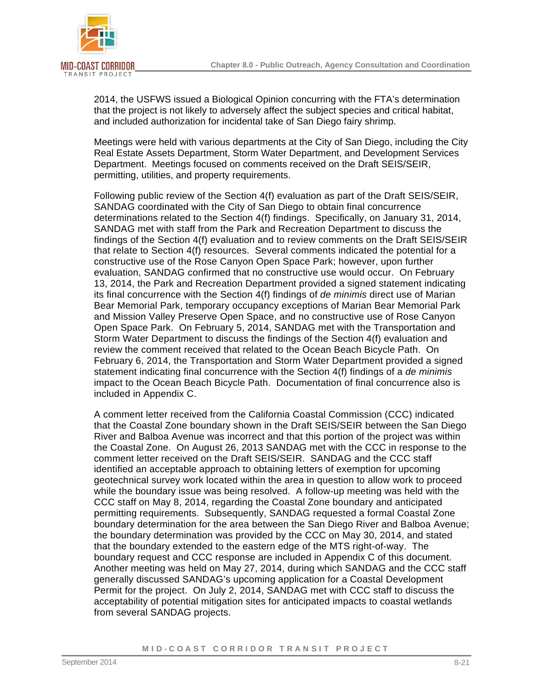

2014, the USFWS issued a Biological Opinion concurring with the FTA's determination that the project is not likely to adversely affect the subject species and critical habitat, and included authorization for incidental take of San Diego fairy shrimp.

Meetings were held with various departments at the City of San Diego, including the City Real Estate Assets Department, Storm Water Department, and Development Services Department. Meetings focused on comments received on the Draft SEIS/SEIR, permitting, utilities, and property requirements.

Following public review of the Section 4(f) evaluation as part of the Draft SEIS/SEIR, SANDAG coordinated with the City of San Diego to obtain final concurrence determinations related to the Section 4(f) findings. Specifically, on January 31, 2014, SANDAG met with staff from the Park and Recreation Department to discuss the findings of the Section 4(f) evaluation and to review comments on the Draft SEIS/SEIR that relate to Section 4(f) resources. Several comments indicated the potential for a constructive use of the Rose Canyon Open Space Park; however, upon further evaluation, SANDAG confirmed that no constructive use would occur. On February 13, 2014, the Park and Recreation Department provided a signed statement indicating its final concurrence with the Section 4(f) findings of *de minimis* direct use of Marian Bear Memorial Park, temporary occupancy exceptions of Marian Bear Memorial Park and Mission Valley Preserve Open Space, and no constructive use of Rose Canyon Open Space Park. On February 5, 2014, SANDAG met with the Transportation and Storm Water Department to discuss the findings of the Section 4(f) evaluation and review the comment received that related to the Ocean Beach Bicycle Path. On February 6, 2014, the Transportation and Storm Water Department provided a signed statement indicating final concurrence with the Section 4(f) findings of a *de minimis* impact to the Ocean Beach Bicycle Path. Documentation of final concurrence also is included in Appendix C.

A comment letter received from the California Coastal Commission (CCC) indicated that the Coastal Zone boundary shown in the Draft SEIS/SEIR between the San Diego River and Balboa Avenue was incorrect and that this portion of the project was within the Coastal Zone. On August 26, 2013 SANDAG met with the CCC in response to the comment letter received on the Draft SEIS/SEIR. SANDAG and the CCC staff identified an acceptable approach to obtaining letters of exemption for upcoming geotechnical survey work located within the area in question to allow work to proceed while the boundary issue was being resolved. A follow-up meeting was held with the CCC staff on May 8, 2014, regarding the Coastal Zone boundary and anticipated permitting requirements. Subsequently, SANDAG requested a formal Coastal Zone boundary determination for the area between the San Diego River and Balboa Avenue; the boundary determination was provided by the CCC on May 30, 2014, and stated that the boundary extended to the eastern edge of the MTS right-of-way. The boundary request and CCC response are included in Appendix C of this document. Another meeting was held on May 27, 2014, during which SANDAG and the CCC staff generally discussed SANDAG's upcoming application for a Coastal Development Permit for the project. On July 2, 2014, SANDAG met with CCC staff to discuss the acceptability of potential mitigation sites for anticipated impacts to coastal wetlands from several SANDAG projects.